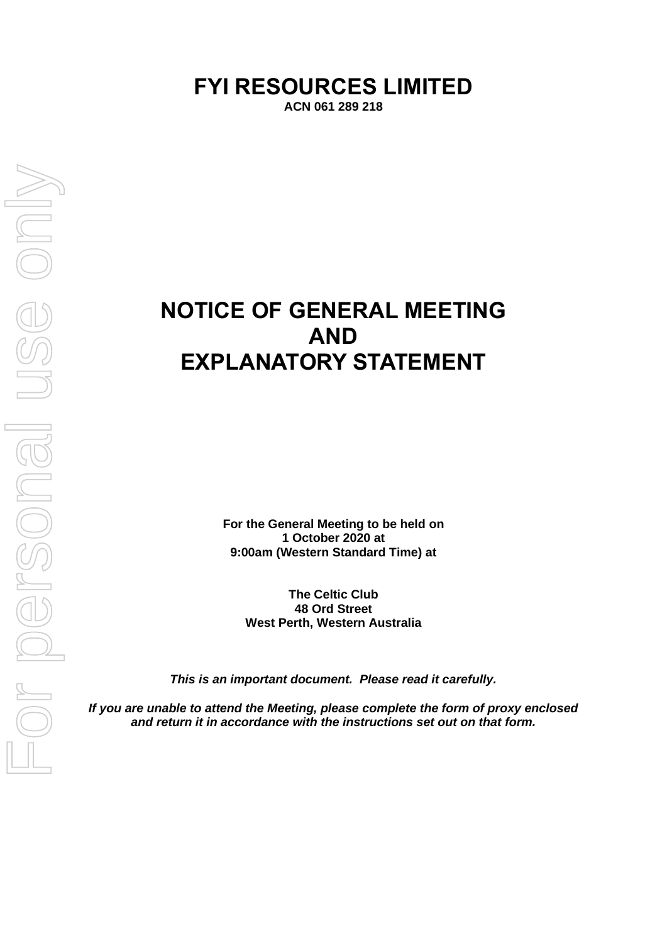# **FYI RESOURCES LIMITED**

**ACN 061 289 218**

# **NOTICE OF GENERAL MEETING AND EXPLANATORY STATEMENT**

**For the General Meeting to be held on 1 October 2020 at 9:00am (Western Standard Time) at**

**The Celtic Club 48 Ord Street West Perth, Western Australia**

*This is an important document. Please read it carefully.*

*If you are unable to attend the Meeting, please complete the form of proxy enclosed and return it in accordance with the instructions set out on that form.*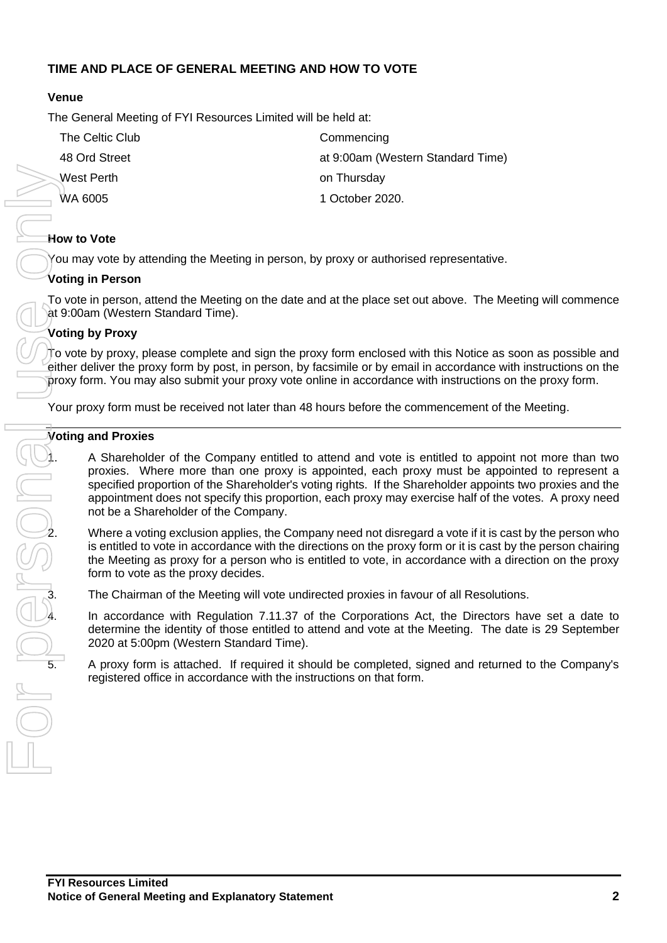#### **TIME AND PLACE OF GENERAL MEETING AND HOW TO VOTE**

#### **Venue**

The General Meeting of FYI Resources Limited will be held at:

| The Celtic Club | Commencing                        |
|-----------------|-----------------------------------|
| 48 Ord Street   | at 9:00am (Western Standard Time) |
| West Perth      | on Thursday                       |
| <b>WA 6005</b>  | 1 October 2020.                   |
|                 |                                   |

#### **How to Vote**

You may vote by attending the Meeting in person, by proxy or authorised representative.

#### **Voting in Person**

To vote in person, attend the Meeting on the date and at the place set out above. The Meeting will commence at 9:00am (Western Standard Time).

#### **Voting by Proxy**

 $\pi$  vote by proxy, please complete and sign the proxy form enclosed with this Notice as soon as possible and either deliver the proxy form by post, in person, by facsimile or by email in accordance with instructions on the proxy form. You may also submit your proxy vote online in accordance with instructions on the proxy form.

Your proxy form must be received not later than 48 hours before the commencement of the Meeting.

#### **Voting and Proxies**

1. A Shareholder of the Company entitled to attend and vote is entitled to appoint not more than two proxies. Where more than one proxy is appointed, each proxy must be appointed to represent a specified proportion of the Shareholder's voting rights. If the Shareholder appoints two proxies and the appointment does not specify this proportion, each proxy may exercise half of the votes. A proxy need not be a Shareholder of the Company.

specified proportion of the Shareholder's voting rights. If the Shareholder appoints two proxies and the<br>not be a Shareholder of the Company.<br>The company need not disregard a vote if it is cast by the person who<br>is entitle is entitled to vote in accordance with the directions on the proxy form or it is cast by the person chairing the Meeting as proxy for a person who is entitled to vote, in accordance with a direction on the proxy form to vote as the proxy decides.

The Chairman of the Meeting will vote undirected proxies in favour of all Resolutions.

4. In accordance with Regulation 7.11.37 of the Corporations Act, the Directors have set a date to determine the identity of those entitled to attend and vote at the Meeting. The date is 29 September 2020 at 5:00pm (Western Standard Time).

5. A proxy form is attached. If required it should be completed, signed and returned to the Company's registered office in accordance with the instructions on that form.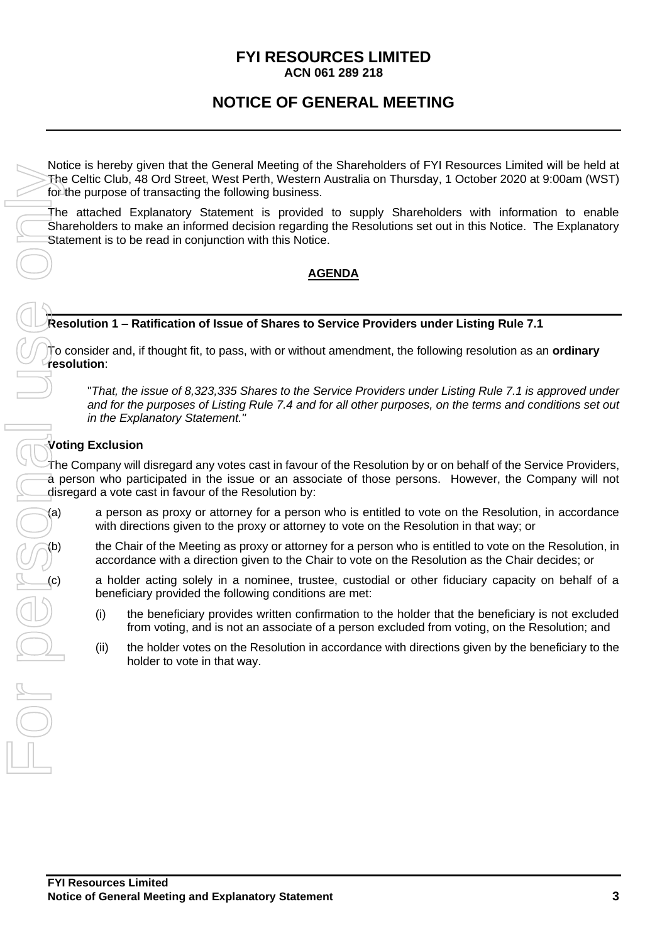#### **FYI RESOURCES LIMITED ACN 061 289 218**

## **NOTICE OF GENERAL MEETING**

Notice is hereby given that the General Meeting of the Shareholders of FYI Resources Limited will be held at The Celtic Club, 48 Ord Street, West Perth, Western Australia on Thursday, 1 October 2020 at 9:00am (WST) for the purpose of transacting the following business.

The attached Explanatory Statement is provided to supply Shareholders with information to enable Shareholders to make an informed decision regarding the Resolutions set out in this Notice. The Explanatory Statement is to be read in conjunction with this Notice.

#### **AGENDA**

#### **Resolution 1 – Ratification of Issue of Shares to Service Providers under Listing Rule 7.1**

To consider and, if thought fit, to pass, with or without amendment, the following resolution as an **ordinary resolution**:

"*That, the issue of 8,323,335 Shares to the Service Providers under Listing Rule 7.1 is approved under and for the purposes of Listing Rule 7.4 and for all other purposes, on the terms and conditions set out in the Explanatory Statement."*

#### **Voting Exclusion**

The Company will disregard any votes cast in favour of the Resolution by or on behalf of the Service Providers, a person who participated in the issue or an associate of those persons. However, the Company will not disregard a vote cast in favour of the Resolution by:

(a) a person as proxy or attorney for a person who is entitled to vote on the Resolution, in accordance with directions given to the proxy or attorney to vote on the Resolution in that way; or

the Chair of the Meeting as proxy or attorney for a person who is entitled to vote on the Resolution, in accordance with a direction given to the Chair to vote on the Resolution as the Chair decides; or

a holder acting solely in a nominee, trustee, custodial or other fiduciary capacity on behalf of a beneficiary provided the following conditions are met:

- (i) the beneficiary provides written confirmation to the holder that the beneficiary is not excluded from voting, and is not an associate of a person excluded from voting, on the Resolution; and
- (ii) the holder votes on the Resolution in accordance with directions given by the beneficiary to the holder to vote in that way.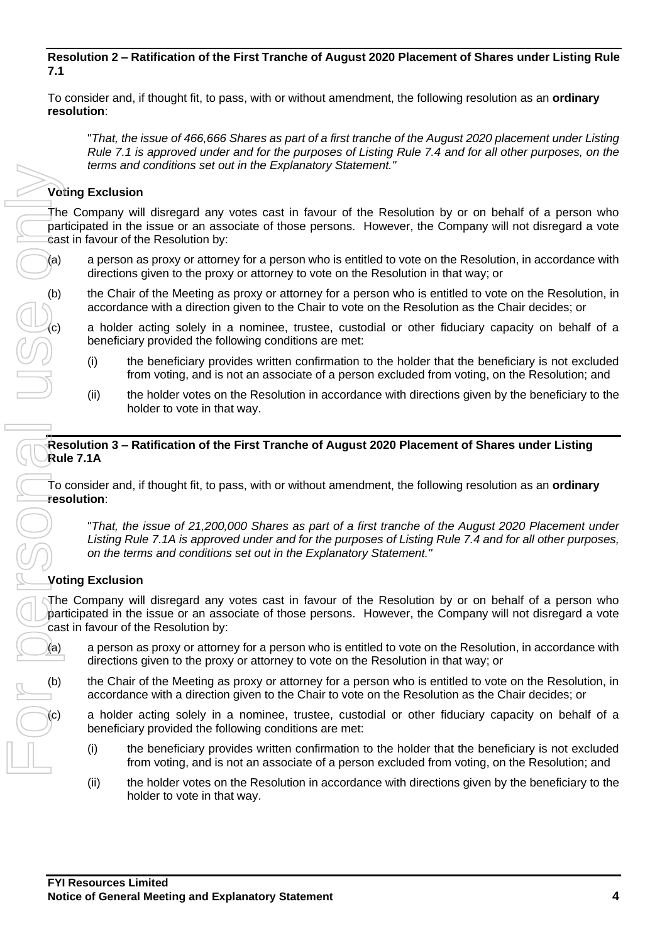#### **Resolution 2 – Ratification of the First Tranche of August 2020 Placement of Shares under Listing Rule 7.1**

To consider and, if thought fit, to pass, with or without amendment, the following resolution as an **ordinary resolution**:

"*That, the issue of 466,666 Shares as part of a first tranche of the August 2020 placement under Listing Rule 7.1 is approved under and for the purposes of Listing Rule 7.4 and for all other purposes, on the terms and conditions set out in the Explanatory Statement."*

#### **Voting Exclusion**

The Company will disregard any votes cast in favour of the Resolution by or on behalf of a person who participated in the issue or an associate of those persons. However, the Company will not disregard a vote cast in favour of the Resolution by:

- (a) a person as proxy or attorney for a person who is entitled to vote on the Resolution, in accordance with directions given to the proxy or attorney to vote on the Resolution in that way; or
- (b) the Chair of the Meeting as proxy or attorney for a person who is entitled to vote on the Resolution, in accordance with a direction given to the Chair to vote on the Resolution as the Chair decides; or

a holder acting solely in a nominee, trustee, custodial or other fiduciary capacity on behalf of a beneficiary provided the following conditions are met:

- (i) the beneficiary provides written confirmation to the holder that the beneficiary is not excluded from voting, and is not an associate of a person excluded from voting, on the Resolution; and
- (ii) the holder votes on the Resolution in accordance with directions given by the beneficiary to the holder to vote in that way.

#### **Resolution 3 – Ratification of the First Tranche of August 2020 Placement of Shares under Listing Rule 7.1A**

To consider and, if thought fit, to pass, with or without amendment, the following resolution as an **ordinary resolution**:

"*That, the issue of 21,200,000 Shares as part of a first tranche of the August 2020 Placement under Listing Rule 7.1A is approved under and for the purposes of Listing Rule 7.4 and for all other purposes, on the terms and conditions set out in the Explanatory Statement."*

#### **Voting Exclusion**

The Company will disregard any votes cast in favour of the Resolution by or on behalf of a person who participated in the issue or an associate of those persons. However, the Company will not disregard a vote cast in favour of the Resolution by:

- (a) a person as proxy or attorney for a person who is entitled to vote on the Resolution, in accordance with directions given to the proxy or attorney to vote on the Resolution in that way; or
- (b) the Chair of the Meeting as proxy or attorney for a person who is entitled to vote on the Resolution, in accordance with a direction given to the Chair to vote on the Resolution as the Chair decides; or

a holder acting solely in a nominee, trustee, custodial or other fiduciary capacity on behalf of a beneficiary provided the following conditions are met:

- (i) the beneficiary provides written confirmation to the holder that the beneficiary is not excluded from voting, and is not an associate of a person excluded from voting, on the Resolution; and
- (ii) the holder votes on the Resolution in accordance with directions given by the beneficiary to the holder to vote in that way.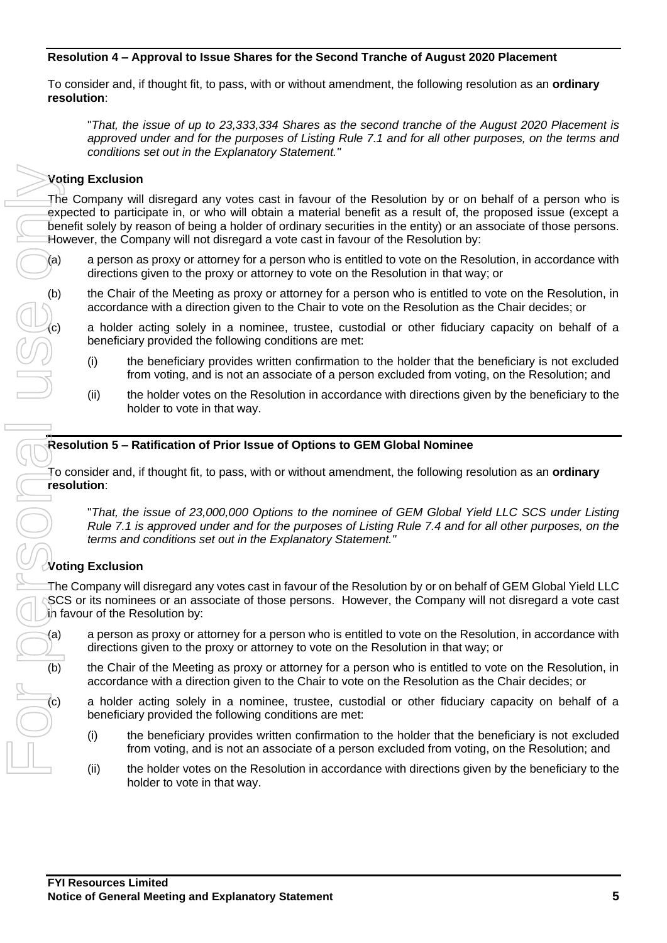#### **Resolution 4 – Approval to Issue Shares for the Second Tranche of August 2020 Placement**

To consider and, if thought fit, to pass, with or without amendment, the following resolution as an **ordinary resolution**:

"*That, the issue of up to 23,333,334 Shares as the second tranche of the August 2020 Placement is approved under and for the purposes of Listing Rule 7.1 and for all other purposes, on the terms and conditions set out in the Explanatory Statement."*

#### **Voting Exclusion**

The Company will disregard any votes cast in favour of the Resolution by or on behalf of a person who is expected to participate in, or who will obtain a material benefit as a result of, the proposed issue (except a benefit solely by reason of being a holder of ordinary securities in the entity) or an associate of those persons. However, the Company will not disregard a vote cast in favour of the Resolution by:

- (a) a person as proxy or attorney for a person who is entitled to vote on the Resolution, in accordance with directions given to the proxy or attorney to vote on the Resolution in that way; or
- (b) the Chair of the Meeting as proxy or attorney for a person who is entitled to vote on the Resolution, in accordance with a direction given to the Chair to vote on the Resolution as the Chair decides; or

a holder acting solely in a nominee, trustee, custodial or other fiduciary capacity on behalf of a beneficiary provided the following conditions are met:

- (i) the beneficiary provides written confirmation to the holder that the beneficiary is not excluded from voting, and is not an associate of a person excluded from voting, on the Resolution; and
- (ii) the holder votes on the Resolution in accordance with directions given by the beneficiary to the holder to vote in that way.

#### **Resolution 5 – Ratification of Prior Issue of Options to GEM Global Nominee**

To consider and, if thought fit, to pass, with or without amendment, the following resolution as an **ordinary resolution**:

"*That, the issue of 23,000,000 Options to the nominee of GEM Global Yield LLC SCS under Listing Rule 7.1 is approved under and for the purposes of Listing Rule 7.4 and for all other purposes, on the terms and conditions set out in the Explanatory Statement."*

#### **Voting Exclusion**

The Company will disregard any votes cast in favour of the Resolution by or on behalf of GEM Global Yield LLC SCS or its nominees or an associate of those persons. However, the Company will not disregard a vote cast in favour of the Resolution by:

- (a) a person as proxy or attorney for a person who is entitled to vote on the Resolution, in accordance with directions given to the proxy or attorney to vote on the Resolution in that way; or
- (b) the Chair of the Meeting as proxy or attorney for a person who is entitled to vote on the Resolution, in accordance with a direction given to the Chair to vote on the Resolution as the Chair decides; or
	- a holder acting solely in a nominee, trustee, custodial or other fiduciary capacity on behalf of a beneficiary provided the following conditions are met:
		- (i) the beneficiary provides written confirmation to the holder that the beneficiary is not excluded from voting, and is not an associate of a person excluded from voting, on the Resolution; and
		- (ii) the holder votes on the Resolution in accordance with directions given by the beneficiary to the holder to vote in that way.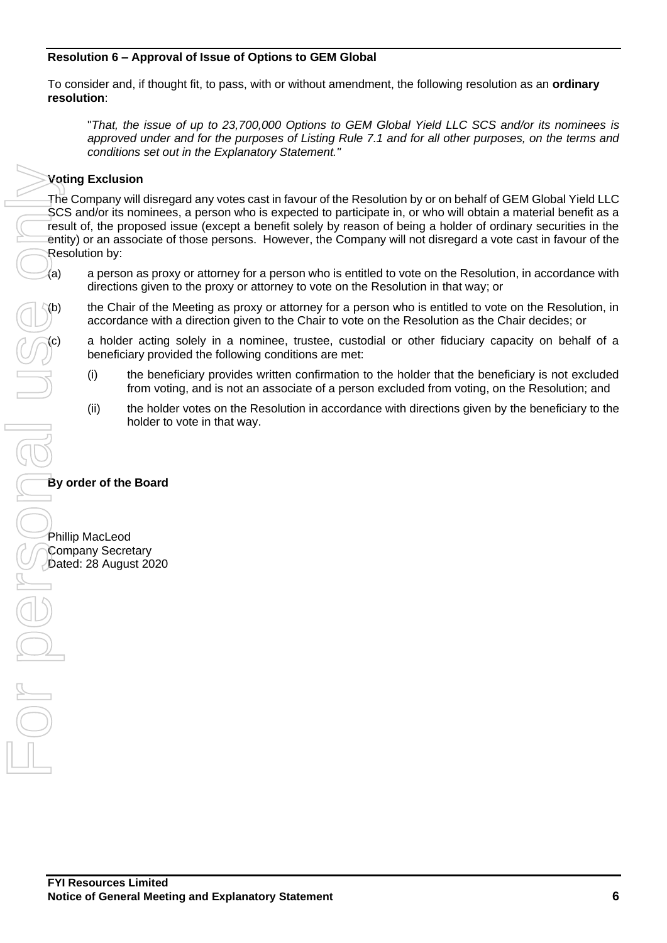#### **Resolution 6 – Approval of Issue of Options to GEM Global**

To consider and, if thought fit, to pass, with or without amendment, the following resolution as an **ordinary resolution**:

"*That, the issue of up to 23,700,000 Options to GEM Global Yield LLC SCS and/or its nominees is approved under and for the purposes of Listing Rule 7.1 and for all other purposes, on the terms and conditions set out in the Explanatory Statement."*

#### **Voting Exclusion**

The Company will disregard any votes cast in favour of the Resolution by or on behalf of GEM Global Yield LLC SCS and/or its nominees, a person who is expected to participate in, or who will obtain a material benefit as a result of, the proposed issue (except a benefit solely by reason of being a holder of ordinary securities in the entity) or an associate of those persons. However, the Company will not disregard a vote cast in favour of the Resolution by:

(a) a person as proxy or attorney for a person who is entitled to vote on the Resolution, in accordance with directions given to the proxy or attorney to vote on the Resolution in that way; or

the Chair of the Meeting as proxy or attorney for a person who is entitled to vote on the Resolution, in accordance with a direction given to the Chair to vote on the Resolution as the Chair decides; or

a holder acting solely in a nominee, trustee, custodial or other fiduciary capacity on behalf of a beneficiary provided the following conditions are met:

- (i) the beneficiary provides written confirmation to the holder that the beneficiary is not excluded from voting, and is not an associate of a person excluded from voting, on the Resolution; and
- (ii) the holder votes on the Resolution in accordance with directions given by the beneficiary to the holder to vote in that way.

#### **By order of the Board**

Phillip MacLeod Company Secretary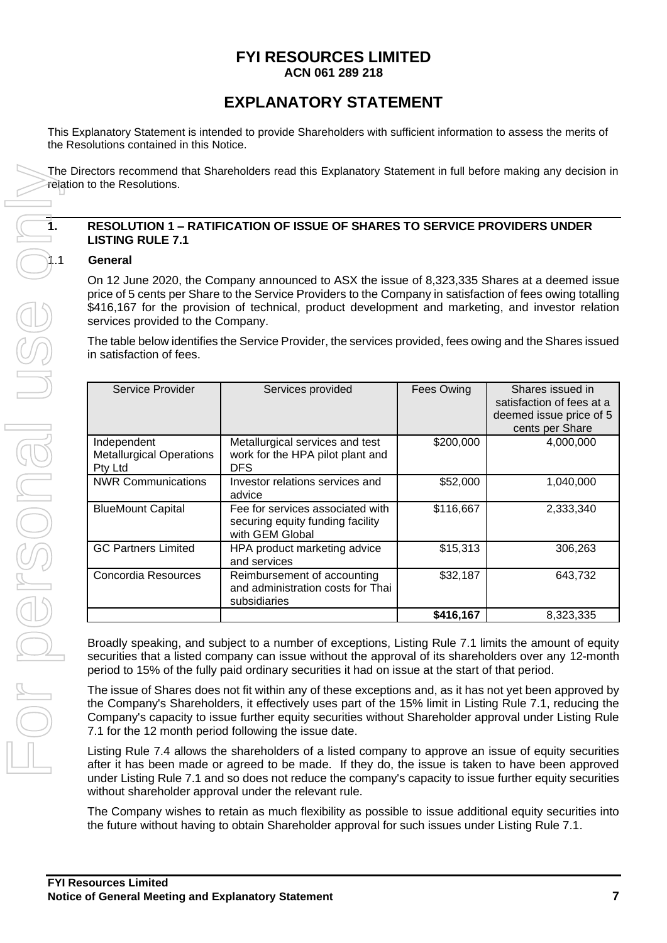#### **FYI RESOURCES LIMITED ACN 061 289 218**

## **EXPLANATORY STATEMENT**

This Explanatory Statement is intended to provide Shareholders with sufficient information to assess the merits of the Resolutions contained in this Notice.

The Directors recommend that Shareholders read this Explanatory Statement in full before making any decision in relation to the Resolutions.

#### **1. RESOLUTION 1 – RATIFICATION OF ISSUE OF SHARES TO SERVICE PROVIDERS UNDER LISTING RULE 7.1**

#### 1.1 **General**

On 12 June 2020, the Company announced to ASX the issue of 8,323,335 Shares at a deemed issue price of 5 cents per Share to the Service Providers to the Company in satisfaction of fees owing totalling \$416,167 for the provision of technical, product development and marketing, and investor relation services provided to the Company.

The table below identifies the Service Provider, the services provided, fees owing and the Shares issued in satisfaction of fees.

| Service Provider                                          | Services provided                                                                       | Fees Owing | Shares issued in<br>satisfaction of fees at a<br>deemed issue price of 5<br>cents per Share |
|-----------------------------------------------------------|-----------------------------------------------------------------------------------------|------------|---------------------------------------------------------------------------------------------|
| Independent<br><b>Metallurgical Operations</b><br>Pty Ltd | Metallurgical services and test<br>work for the HPA pilot plant and<br>DFS.             | \$200,000  | 4,000,000                                                                                   |
| <b>NWR Communications</b>                                 | Investor relations services and<br>advice                                               | \$52,000   | 1,040,000                                                                                   |
| <b>BlueMount Capital</b>                                  | Fee for services associated with<br>securing equity funding facility<br>with GEM Global | \$116,667  | 2,333,340                                                                                   |
| <b>GC Partners Limited</b>                                | HPA product marketing advice<br>and services                                            | \$15,313   | 306,263                                                                                     |
| Concordia Resources                                       | Reimbursement of accounting<br>and administration costs for Thai<br>subsidiaries        | \$32,187   | 643,732                                                                                     |
|                                                           |                                                                                         | \$416,167  | 8,323,335                                                                                   |

Broadly speaking, and subject to a number of exceptions, Listing Rule 7.1 limits the amount of equity securities that a listed company can issue without the approval of its shareholders over any 12-month period to 15% of the fully paid ordinary securities it had on issue at the start of that period.

The issue of Shares does not fit within any of these exceptions and, as it has not yet been approved by the Company's Shareholders, it effectively uses part of the 15% limit in Listing Rule 7.1, reducing the Company's capacity to issue further equity securities without Shareholder approval under Listing Rule 7.1 for the 12 month period following the issue date.

Listing Rule 7.4 allows the shareholders of a listed company to approve an issue of equity securities after it has been made or agreed to be made. If they do, the issue is taken to have been approved under Listing Rule 7.1 and so does not reduce the company's capacity to issue further equity securities without shareholder approval under the relevant rule.

The Company wishes to retain as much flexibility as possible to issue additional equity securities into the future without having to obtain Shareholder approval for such issues under Listing Rule 7.1.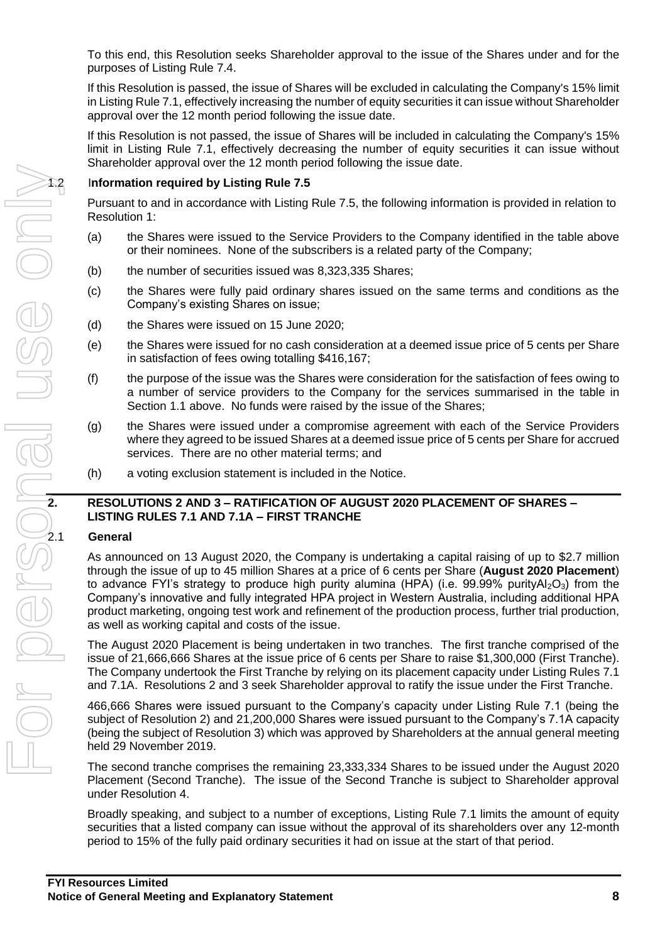To this end, this Resolution seeks Shareholder approval to the issue of the Shares under and for the purposes of Listing Rule 7.4.

If this Resolution is passed, the issue of Shares will be excluded in calculating the Company's 15% limit in Listing Rule 7.1, effectively increasing the number of equity securities it can issue without Shareholder approval over the 12 month period following the issue date.

If this Resolution is not passed, the issue of Shares will be included in calculating the Company's 15% limit in Listing Rule 7.1, effectively decreasing the number of equity securities it can issue without Shareholder approval over the 12 month period following the issue date.

Pursuant to and in accordance with Listing Rule 7.5, the following information is provided in relation to Resolution 1:

- (a) the Shares were issued to the Service Providers to the Company identified in the table above or their nominees. None of the subscribers is a related party of the Company;
- (b) the number of securities issued was 8,323,335 Shares;
- (c) the Shares were fully paid ordinary shares issued on the same terms and conditions as the Company's existing Shares on issue;
- (d) the Shares were issued on 15 June 2020;
- (e) the Shares were issued for no cash consideration at a deemed issue price of 5 cents per Share in satisfaction of fees owing totalling \$416,167;
- (f) the purpose of the issue was the Shares were consideration for the satisfaction of fees owing to a number of service providers to the Company for the services summarised in the table in Section 1.1 above. No funds were raised by the issue of the Shares;
- (g) the Shares were issued under a compromise agreement with each of the Service Providers where they agreed to be issued Shares at a deemed issue price of 5 cents per Share for accrued services. There are no other material terms; and
- (h) a voting exclusion statement is included in the Notice.

# **LISTING RULES 7.1 AND 7.1A – FIRST TRANCHE**

#### 2.1 **General**

**2.1 COLUTIONS 2** AND TO THE SURFACE THE SURFACE THE SURFACE THE SURFACE OF A CONDITIONS 2 AND 3 – **RATIFICATION OF AUGUST 2020 PLACEMENT OF SHARES –<br><b>2. RESOLUTIONS 2 AND 3 – RATIFICATION OF AUGUST 2020 PLACEMENT OF S** As announced on 13 August 2020, the Company is undertaking a capital raising of up to \$2.7 million through the issue of up to 45 million Shares at a price of 6 cents per Share (**August 2020 Placement**) to advance FYI's strategy to produce high purity alumina (HPA) (i.e. 99.99% purityAl<sub>2</sub>O<sub>3</sub>) from the Company's innovative and fully integrated HPA project in Western Australia, including additional HPA product marketing, ongoing test work and refinement of the production process, further trial production, as well as working capital and costs of the issue.

The August 2020 Placement is being undertaken in two tranches. The first tranche comprised of the issue of 21,666,666 Shares at the issue price of 6 cents per Share to raise \$1,300,000 (First Tranche). The Company undertook the First Tranche by relying on its placement capacity under Listing Rules 7.1 and 7.1A. Resolutions 2 and 3 seek Shareholder approval to ratify the issue under the First Tranche.

466,666 Shares were issued pursuant to the Company's capacity under Listing Rule 7.1 (being the subject of Resolution 2) and 21,200,000 Shares were issued pursuant to the Company's 7.1A capacity (being the subject of Resolution 3) which was approved by Shareholders at the annual general meeting held 29 November 2019.

The second tranche comprises the remaining 23,333,334 Shares to be issued under the August 2020 Placement (Second Tranche). The issue of the Second Tranche is subject to Shareholder approval under Resolution 4.

Broadly speaking, and subject to a number of exceptions, Listing Rule 7.1 limits the amount of equity securities that a listed company can issue without the approval of its shareholders over any 12-month period to 15% of the fully paid ordinary securities it had on issue at the start of that period.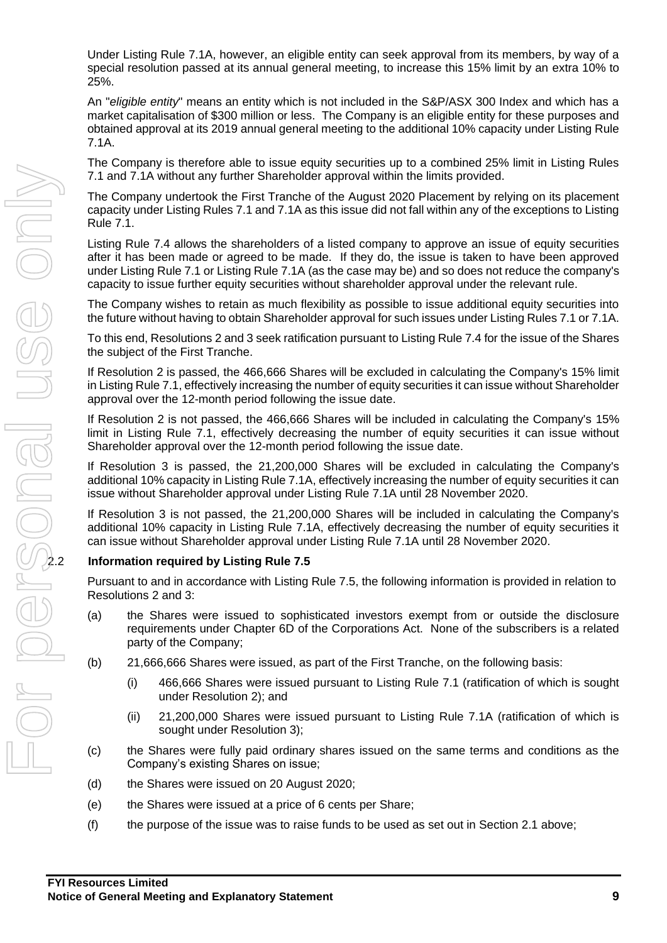Under Listing Rule 7.1A, however, an eligible entity can seek approval from its members, by way of a special resolution passed at its annual general meeting, to increase this 15% limit by an extra 10% to 25%.

An "*eligible entity*" means an entity which is not included in the S&P/ASX 300 Index and which has a market capitalisation of \$300 million or less. The Company is an eligible entity for these purposes and obtained approval at its 2019 annual general meeting to the additional 10% capacity under Listing Rule 7.1A.

The Company is therefore able to issue equity securities up to a combined 25% limit in Listing Rules 7.1 and 7.1A without any further Shareholder approval within the limits provided.

The Company undertook the First Tranche of the August 2020 Placement by relying on its placement capacity under Listing Rules 7.1 and 7.1A as this issue did not fall within any of the exceptions to Listing Rule 7.1.

Listing Rule 7.4 allows the shareholders of a listed company to approve an issue of equity securities after it has been made or agreed to be made. If they do, the issue is taken to have been approved under Listing Rule 7.1 or Listing Rule 7.1A (as the case may be) and so does not reduce the company's capacity to issue further equity securities without shareholder approval under the relevant rule.

The Company wishes to retain as much flexibility as possible to issue additional equity securities into the future without having to obtain Shareholder approval for such issues under Listing Rules 7.1 or 7.1A.

To this end, Resolutions 2 and 3 seek ratification pursuant to Listing Rule 7.4 for the issue of the Shares the subject of the First Tranche.

If Resolution 2 is passed, the 466,666 Shares will be excluded in calculating the Company's 15% limit in Listing Rule 7.1, effectively increasing the number of equity securities it can issue without Shareholder approval over the 12-month period following the issue date.

If Resolution 2 is not passed, the 466,666 Shares will be included in calculating the Company's 15% limit in Listing Rule 7.1, effectively decreasing the number of equity securities it can issue without Shareholder approval over the 12-month period following the issue date.

If Resolution 3 is passed, the 21,200,000 Shares will be excluded in calculating the Company's additional 10% capacity in Listing Rule 7.1A, effectively increasing the number of equity securities it can issue without Shareholder approval under Listing Rule 7.1A until 28 November 2020.

If Resolution 3 is not passed, the 21,200,000 Shares will be included in calculating the Company's additional 10% capacity in Listing Rule 7.1A, effectively decreasing the number of equity securities it can issue without Shareholder approval under Listing Rule 7.1A until 28 November 2020.

Pursuant to and in accordance with Listing Rule 7.5, the following information is provided in relation to Resolutions 2 and 3:

- (a) the Shares were issued to sophisticated investors exempt from or outside the disclosure requirements under Chapter 6D of the Corporations Act. None of the subscribers is a related party of the Company;
- (b) 21,666,666 Shares were issued, as part of the First Tranche, on the following basis:
	- (i) 466,666 Shares were issued pursuant to Listing Rule 7.1 (ratification of which is sought under Resolution 2); and
	- (ii) 21,200,000 Shares were issued pursuant to Listing Rule 7.1A (ratification of which is sought under Resolution 3);
- (c) the Shares were fully paid ordinary shares issued on the same terms and conditions as the Company's existing Shares on issue;
- (d) the Shares were issued on 20 August 2020;
- (e) the Shares were issued at a price of 6 cents per Share;
- (f) the purpose of the issue was to raise funds to be used as set out in Section 2.1 above;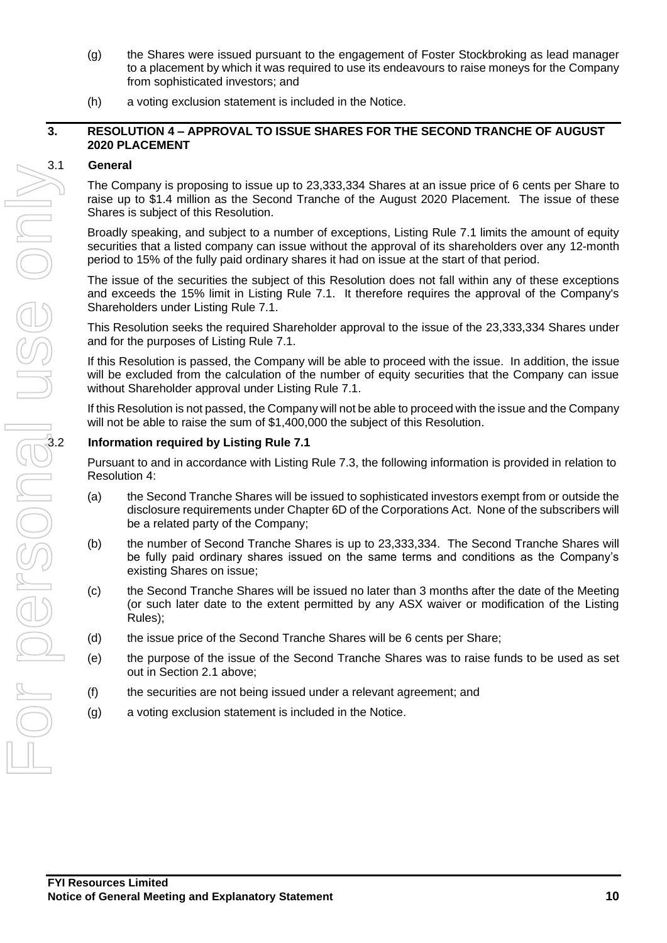- (g) the Shares were issued pursuant to the engagement of Foster Stockbroking as lead manager to a placement by which it was required to use its endeavours to raise moneys for the Company from sophisticated investors; and
- (h) a voting exclusion statement is included in the Notice.

#### **3. RESOLUTION 4 – APPROVAL TO ISSUE SHARES FOR THE SECOND TRANCHE OF AUGUST 2020 PLACEMENT**

#### 3.1 **General**

The Company is proposing to issue up to 23,333,334 Shares at an issue price of 6 cents per Share to raise up to \$1.4 million as the Second Tranche of the August 2020 Placement. The issue of these Shares is subject of this Resolution.

Broadly speaking, and subject to a number of exceptions, Listing Rule 7.1 limits the amount of equity securities that a listed company can issue without the approval of its shareholders over any 12-month period to 15% of the fully paid ordinary shares it had on issue at the start of that period.

The issue of the securities the subject of this Resolution does not fall within any of these exceptions and exceeds the 15% limit in Listing Rule 7.1. It therefore requires the approval of the Company's Shareholders under Listing Rule 7.1.

This Resolution seeks the required Shareholder approval to the issue of the 23,333,334 Shares under and for the purposes of Listing Rule 7.1.

If this Resolution is passed, the Company will be able to proceed with the issue. In addition, the issue will be excluded from the calculation of the number of equity securities that the Company can issue without Shareholder approval under Listing Rule 7.1.

If this Resolution is not passed, the Company will not be able to proceed with the issue and the Company will not be able to raise the sum of \$1,400,000 the subject of this Resolution.

Pursuant to and in accordance with Listing Rule 7.3, the following information is provided in relation to Resolution 4:

- (a) the Second Tranche Shares will be issued to sophisticated investors exempt from or outside the disclosure requirements under Chapter 6D of the Corporations Act. None of the subscribers will be a related party of the Company;
- (b) the number of Second Tranche Shares is up to 23,333,334. The Second Tranche Shares will be fully paid ordinary shares issued on the same terms and conditions as the Company's existing Shares on issue;
- (c) the Second Tranche Shares will be issued no later than 3 months after the date of the Meeting (or such later date to the extent permitted by any ASX waiver or modification of the Listing Rules);
- (d) the issue price of the Second Tranche Shares will be 6 cents per Share;
- (e) the purpose of the issue of the Second Tranche Shares was to raise funds to be used as set out in Section 2.1 above;
- (f) the securities are not being issued under a relevant agreement; and
- (g) a voting exclusion statement is included in the Notice.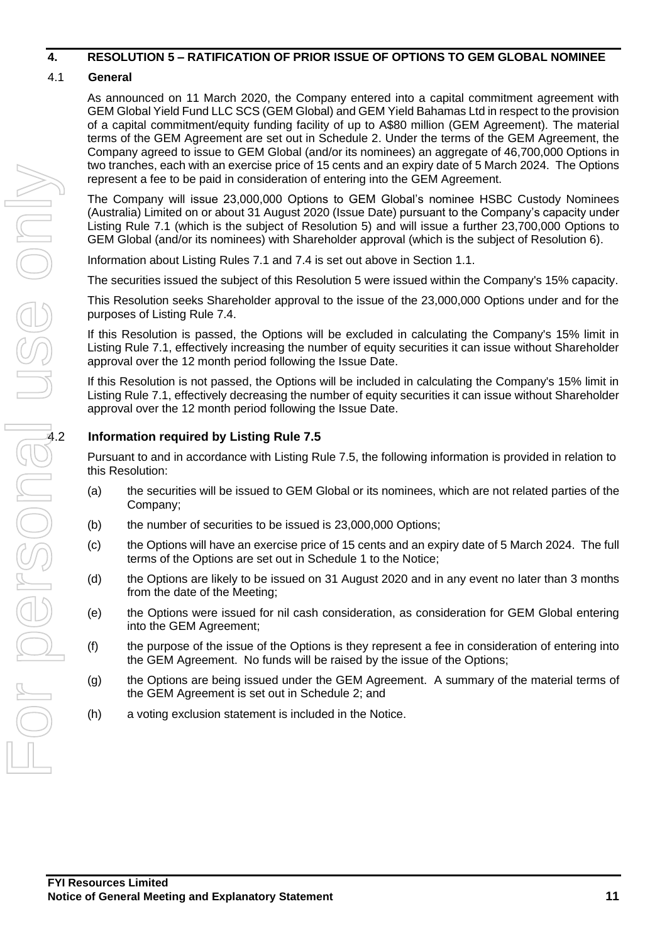#### **4. RESOLUTION 5 – RATIFICATION OF PRIOR ISSUE OF OPTIONS TO GEM GLOBAL NOMINEE**

#### 4.1 **General**

As announced on 11 March 2020, the Company entered into a capital commitment agreement with GEM Global Yield Fund LLC SCS (GEM Global) and GEM Yield Bahamas Ltd in respect to the provision of a capital commitment/equity funding facility of up to A\$80 million (GEM Agreement). The material terms of the GEM Agreement are set out in Schedule 2. Under the terms of the GEM Agreement, the Company agreed to issue to GEM Global (and/or its nominees) an aggregate of 46,700,000 Options in two tranches, each with an exercise price of 15 cents and an expiry date of 5 March 2024. The Options represent a fee to be paid in consideration of entering into the GEM Agreement.

The Company will issue 23,000,000 Options to GEM Global's nominee HSBC Custody Nominees (Australia) Limited on or about 31 August 2020 (Issue Date) pursuant to the Company's capacity under Listing Rule 7.1 (which is the subject of Resolution 5) and will issue a further 23,700,000 Options to GEM Global (and/or its nominees) with Shareholder approval (which is the subject of Resolution 6).

Information about Listing Rules 7.1 and 7.4 is set out above in Section 1.1.

The securities issued the subject of this Resolution 5 were issued within the Company's 15% capacity.

This Resolution seeks Shareholder approval to the issue of the 23,000,000 Options under and for the purposes of Listing Rule 7.4.

If this Resolution is passed, the Options will be excluded in calculating the Company's 15% limit in Listing Rule 7.1, effectively increasing the number of equity securities it can issue without Shareholder approval over the 12 month period following the Issue Date.

If this Resolution is not passed, the Options will be included in calculating the Company's 15% limit in Listing Rule 7.1, effectively decreasing the number of equity securities it can issue without Shareholder approval over the 12 month period following the Issue Date.

Pursuant to and in accordance with Listing Rule 7.5, the following information is provided in relation to this Resolution:

- (a) the securities will be issued to GEM Global or its nominees, which are not related parties of the Company;
- (b) the number of securities to be issued is 23,000,000 Options;
- (c) the Options will have an exercise price of 15 cents and an expiry date of 5 March 2024. The full terms of the Options are set out in Schedule 1 to the Notice;
- (d) the Options are likely to be issued on 31 August 2020 and in any event no later than 3 months from the date of the Meeting;
- (e) the Options were issued for nil cash consideration, as consideration for GEM Global entering into the GEM Agreement;
- (f) the purpose of the issue of the Options is they represent a fee in consideration of entering into the GEM Agreement. No funds will be raised by the issue of the Options;
- (g) the Options are being issued under the GEM Agreement. A summary of the material terms of the GEM Agreement is set out in Schedule 2; and
- (h) a voting exclusion statement is included in the Notice.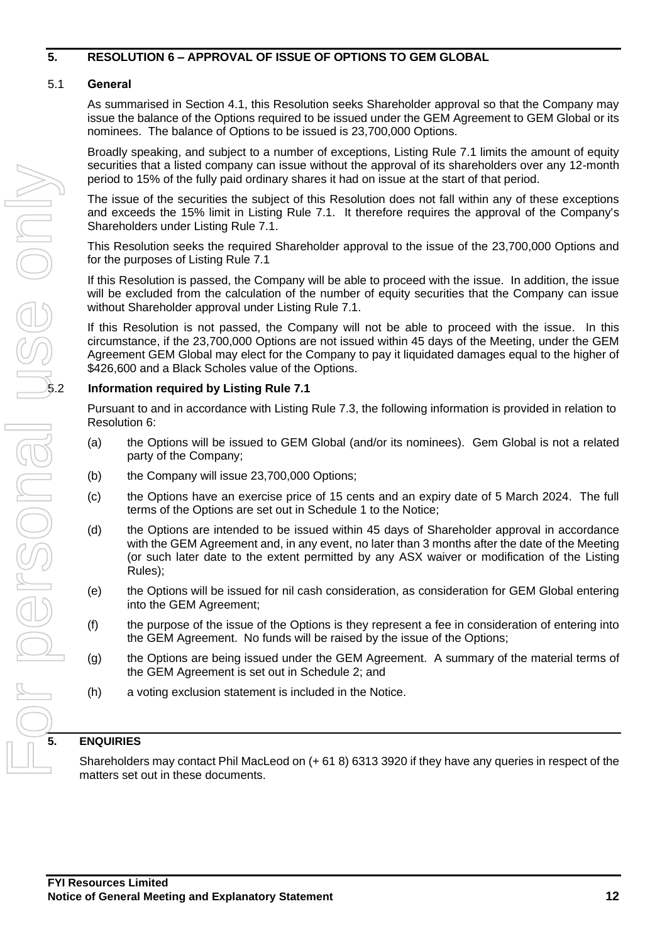#### **5. RESOLUTION 6 – APPROVAL OF ISSUE OF OPTIONS TO GEM GLOBAL**

#### 5.1 **General**

As summarised in Section 4.1, this Resolution seeks Shareholder approval so that the Company may issue the balance of the Options required to be issued under the GEM Agreement to GEM Global or its nominees. The balance of Options to be issued is 23,700,000 Options.

Broadly speaking, and subject to a number of exceptions, Listing Rule 7.1 limits the amount of equity securities that a listed company can issue without the approval of its shareholders over any 12-month period to 15% of the fully paid ordinary shares it had on issue at the start of that period.

The issue of the securities the subject of this Resolution does not fall within any of these exceptions and exceeds the 15% limit in Listing Rule 7.1. It therefore requires the approval of the Company's Shareholders under Listing Rule 7.1.

This Resolution seeks the required Shareholder approval to the issue of the 23,700,000 Options and for the purposes of Listing Rule 7.1

If this Resolution is passed, the Company will be able to proceed with the issue. In addition, the issue will be excluded from the calculation of the number of equity securities that the Company can issue without Shareholder approval under Listing Rule 7.1.

If this Resolution is not passed, the Company will not be able to proceed with the issue. In this circumstance, if the 23,700,000 Options are not issued within 45 days of the Meeting, under the GEM Agreement GEM Global may elect for the Company to pay it liquidated damages equal to the higher of \$426,600 and a Black Scholes value of the Options.

#### 5.2 **Information required by Listing Rule 7.1**

Pursuant to and in accordance with Listing Rule 7.3, the following information is provided in relation to Resolution 6:

- (a) the Options will be issued to GEM Global (and/or its nominees). Gem Global is not a related party of the Company;
- (b) the Company will issue 23,700,000 Options;
- (c) the Options have an exercise price of 15 cents and an expiry date of 5 March 2024. The full terms of the Options are set out in Schedule 1 to the Notice;
- (d) the Options are intended to be issued within 45 days of Shareholder approval in accordance with the GEM Agreement and, in any event, no later than 3 months after the date of the Meeting (or such later date to the extent permitted by any ASX waiver or modification of the Listing Rules);
- (e) the Options will be issued for nil cash consideration, as consideration for GEM Global entering into the GEM Agreement;
- (f) the purpose of the issue of the Options is they represent a fee in consideration of entering into the GEM Agreement. No funds will be raised by the issue of the Options;
- (g) the Options are being issued under the GEM Agreement. A summary of the material terms of the GEM Agreement is set out in Schedule 2; and
- (h) a voting exclusion statement is included in the Notice.

#### **5. ENQUIRIES**

Shareholders may contact Phil MacLeod on (+ 61 8) 6313 3920 if they have any queries in respect of the matters set out in these documents.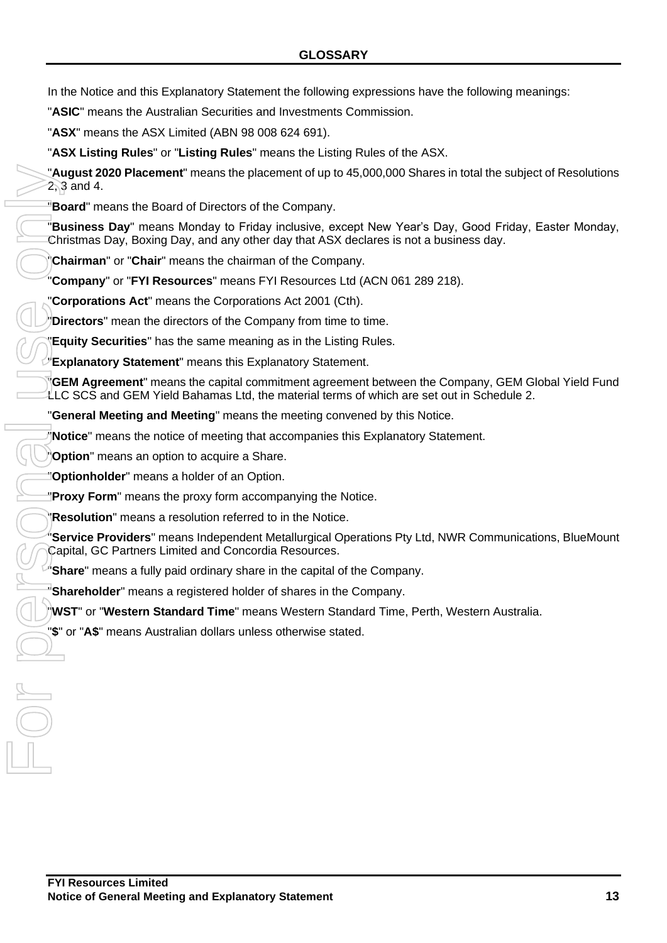"**ASIC**" means the Australian Securities and Investments Commission.

"**ASX**" means the ASX Limited (ABN 98 008 624 691).

"**ASX Listing Rules**" or "**Listing Rules**" means the Listing Rules of the ASX.

"**August 2020 Placement**" means the placement of up to 45,000,000 Shares in total the subject of Resolutions 2, 3 and 4.

"**Board**" means the Board of Directors of the Company.

"**Business Day**" means Monday to Friday inclusive, except New Year's Day, Good Friday, Easter Monday, Christmas Day, Boxing Day, and any other day that ASX declares is not a business day.

"**Chairman**" or "**Chair**" means the chairman of the Company.

"**Company**" or "**FYI Resources**" means FYI Resources Ltd (ACN 061 289 218).

"**Corporations Act**" means the Corporations Act 2001 (Cth).

"**Directors**" mean the directors of the Company from time to time.

"**Equity Securities**" has the same meaning as in the Listing Rules.

"**Explanatory Statement**" means this Explanatory Statement.

"**GEM Agreement**" means the capital commitment agreement between the Company, GEM Global Yield Fund LLC SCS and GEM Yield Bahamas Ltd, the material terms of which are set out in Schedule 2.

"**General Meeting and Meeting**" means the meeting convened by this Notice.

"**Notice**" means the notice of meeting that accompanies this Explanatory Statement.

"**Option**" means an option to acquire a Share.

"**Optionholder**" means a holder of an Option.

"**Proxy Form**" means the proxy form accompanying the Notice.

"**Resolution**" means a resolution referred to in the Notice.

"**Service Providers**" means Independent Metallurgical Operations Pty Ltd, NWR Communications, BlueMount Capital, GC Partners Limited and Concordia Resources.

"**Share**" means a fully paid ordinary share in the capital of the Company.

"**Shareholder**" means a registered holder of shares in the Company.

"**WST**" or "**Western Standard Time**" means Western Standard Time, Perth, Western Australia.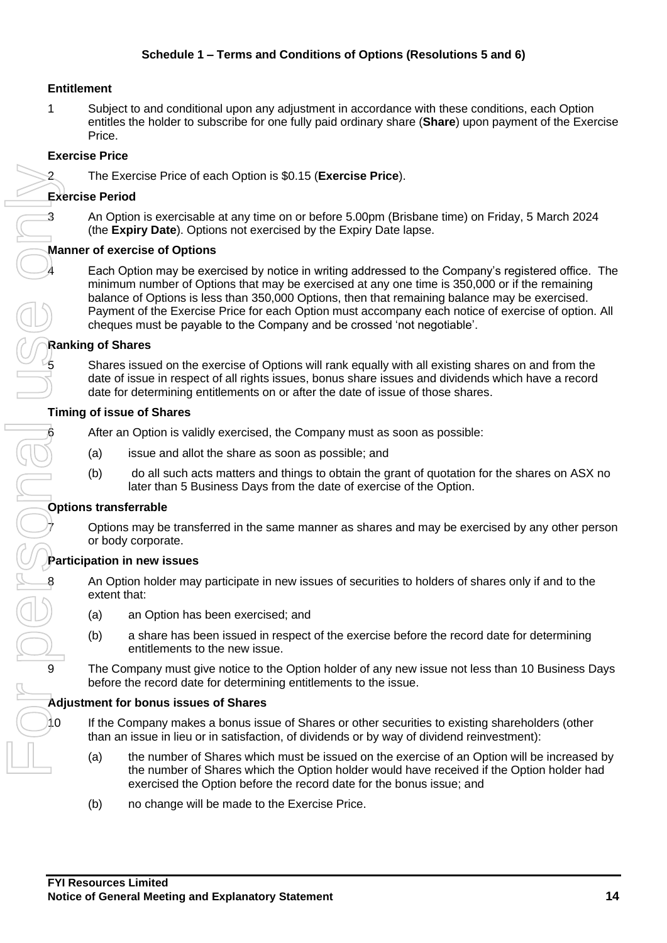#### **Entitlement**

1 Subject to and conditional upon any adjustment in accordance with these conditions, each Option entitles the holder to subscribe for one fully paid ordinary share (**Share**) upon payment of the Exercise Price.

#### **Exercise Price**

2 The Exercise Price of each Option is \$0.15 (**Exercise Price**).

#### **Exercise Period**

3 An Option is exercisable at any time on or before 5.00pm (Brisbane time) on Friday, 5 March 2024 (the **Expiry Date**). Options not exercised by the Expiry Date lapse.

#### **Manner of exercise of Options**

Each Option may be exercised by notice in writing addressed to the Company's registered office. The minimum number of Options that may be exercised at any one time is 350,000 or if the remaining balance of Options is less than 350,000 Options, then that remaining balance may be exercised. Payment of the Exercise Price for each Option must accompany each notice of exercise of option. All cheques must be payable to the Company and be crossed 'not negotiable'.

#### **Ranking of Shares**

5 Shares issued on the exercise of Options will rank equally with all existing shares on and from the date of issue in respect of all rights issues, bonus share issues and dividends which have a record date for determining entitlements on or after the date of issue of those shares.

#### **Timing of issue of Shares**

After an Option is validly exercised, the Company must as soon as possible:

- (a) issue and allot the share as soon as possible; and
- (b) do all such acts matters and things to obtain the grant of quotation for the shares on ASX no later than 5 Business Days from the date of exercise of the Option.

#### **Options transferrable**

7 Options may be transferred in the same manner as shares and may be exercised by any other person or body corporate.

#### **Participation in new issues**

8 An Option holder may participate in new issues of securities to holders of shares only if and to the extent that:

- (a) an Option has been exercised; and
- (b) a share has been issued in respect of the exercise before the record date for determining entitlements to the new issue.

The Company must give notice to the Option holder of any new issue not less than 10 Business Days before the record date for determining entitlements to the issue.

#### **Adjustment for bonus issues of Shares**

If the Company makes a bonus issue of Shares or other securities to existing shareholders (other than an issue in lieu or in satisfaction, of dividends or by way of dividend reinvestment):

- (a) the number of Shares which must be issued on the exercise of an Option will be increased by the number of Shares which the Option holder would have received if the Option holder had exercised the Option before the record date for the bonus issue; and
- (b) no change will be made to the Exercise Price.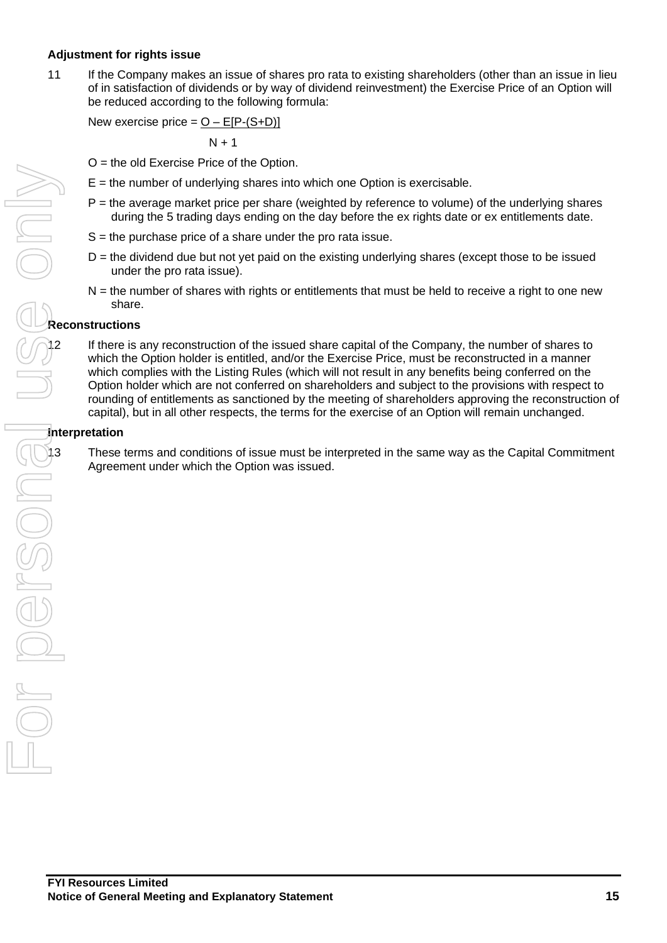#### **Adjustment for rights issue**

11 If the Company makes an issue of shares pro rata to existing shareholders (other than an issue in lieu of in satisfaction of dividends or by way of dividend reinvestment) the Exercise Price of an Option will be reduced according to the following formula:

New exercise price =  $O - E[P-(S+D)]$ 

 $N + 1$ 

- O = the old Exercise Price of the Option.
- $E =$  the number of underlying shares into which one Option is exercisable.
- $P =$  the average market price per share (weighted by reference to volume) of the underlying shares during the 5 trading days ending on the day before the ex rights date or ex entitlements date.
- $S =$  the purchase price of a share under the pro rata issue.
- $D =$  the dividend due but not yet paid on the existing underlying shares (except those to be issued under the pro rata issue).
- $N =$  the number of shares with rights or entitlements that must be held to receive a right to one new share.

#### **Reconstructions**

If there is any reconstruction of the issued share capital of the Company, the number of shares to which the Option holder is entitled, and/or the Exercise Price, must be reconstructed in a manner which complies with the Listing Rules (which will not result in any benefits being conferred on the Option holder which are not conferred on shareholders and subject to the provisions with respect to rounding of entitlements as sanctioned by the meeting of shareholders approving the reconstruction of capital), but in all other respects, the terms for the exercise of an Option will remain unchanged.

#### **Interpretation**

Agreement under which the Option was issued.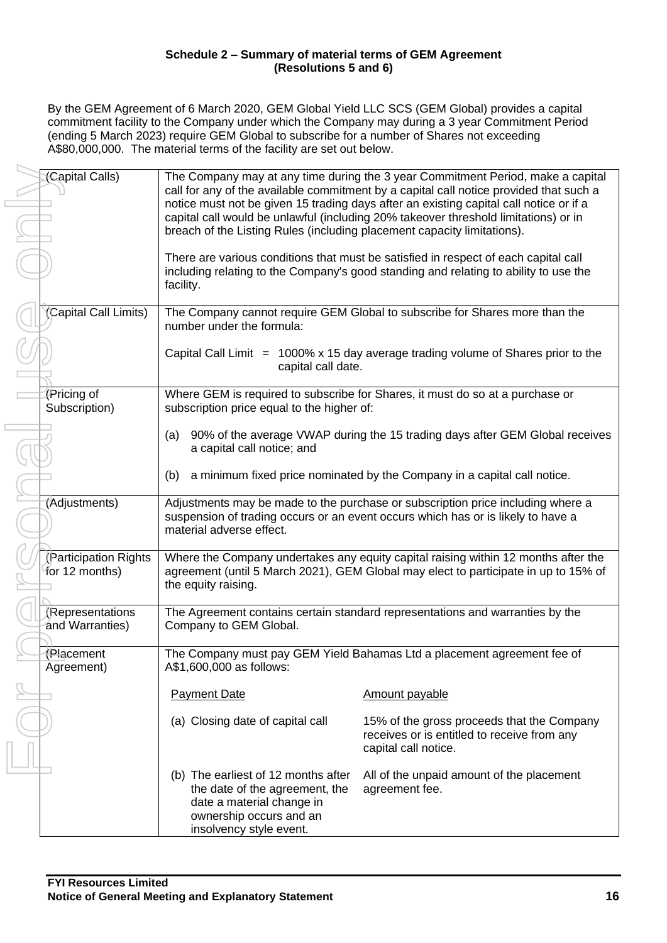#### **Schedule 2 – Summary of material terms of GEM Agreement (Resolutions 5 and 6)**

By the GEM Agreement of 6 March 2020, GEM Global Yield LLC SCS (GEM Global) provides a capital commitment facility to the Company under which the Company may during a 3 year Commitment Period (ending 5 March 2023) require GEM Global to subscribe for a number of Shares not exceeding A\$80,000,000. The material terms of the facility are set out below.

| (Capital Calls)                         | breach of the Listing Rules (including placement capacity limitations).                                                                                  | The Company may at any time during the 3 year Commitment Period, make a capital<br>call for any of the available commitment by a capital call notice provided that such a<br>notice must not be given 15 trading days after an existing capital call notice or if a<br>capital call would be unlawful (including 20% takeover threshold limitations) or in |
|-----------------------------------------|----------------------------------------------------------------------------------------------------------------------------------------------------------|------------------------------------------------------------------------------------------------------------------------------------------------------------------------------------------------------------------------------------------------------------------------------------------------------------------------------------------------------------|
|                                         | facility.                                                                                                                                                | There are various conditions that must be satisfied in respect of each capital call<br>including relating to the Company's good standing and relating to ability to use the                                                                                                                                                                                |
| (Capital Call Limits)                   | number under the formula:                                                                                                                                | The Company cannot require GEM Global to subscribe for Shares more than the                                                                                                                                                                                                                                                                                |
|                                         | capital call date.                                                                                                                                       | Capital Call Limit $= 1000\% \times 15$ day average trading volume of Shares prior to the                                                                                                                                                                                                                                                                  |
| (Pricing of<br>Subscription)            | subscription price equal to the higher of:                                                                                                               | Where GEM is required to subscribe for Shares, it must do so at a purchase or                                                                                                                                                                                                                                                                              |
|                                         | (a)<br>a capital call notice; and                                                                                                                        | 90% of the average VWAP during the 15 trading days after GEM Global receives                                                                                                                                                                                                                                                                               |
|                                         | (b)                                                                                                                                                      | a minimum fixed price nominated by the Company in a capital call notice.                                                                                                                                                                                                                                                                                   |
| (Adjustments)                           | material adverse effect.                                                                                                                                 | Adjustments may be made to the purchase or subscription price including where a<br>suspension of trading occurs or an event occurs which has or is likely to have a                                                                                                                                                                                        |
| (Participation Rights<br>for 12 months) | the equity raising.                                                                                                                                      | Where the Company undertakes any equity capital raising within 12 months after the<br>agreement (until 5 March 2021), GEM Global may elect to participate in up to 15% of                                                                                                                                                                                  |
| (Representations<br>and Warranties)     | Company to GEM Global.                                                                                                                                   | The Agreement contains certain standard representations and warranties by the                                                                                                                                                                                                                                                                              |
| (Placement<br>Agreement)                | A\$1,600,000 as follows:                                                                                                                                 | The Company must pay GEM Yield Bahamas Ltd a placement agreement fee of                                                                                                                                                                                                                                                                                    |
|                                         | <b>Payment Date</b>                                                                                                                                      | <b>Amount payable</b>                                                                                                                                                                                                                                                                                                                                      |
|                                         | (a) Closing date of capital call                                                                                                                         | 15% of the gross proceeds that the Company<br>receives or is entitled to receive from any<br>capital call notice.                                                                                                                                                                                                                                          |
|                                         | (b) The earliest of 12 months after<br>the date of the agreement, the<br>date a material change in<br>ownership occurs and an<br>insolvency style event. | All of the unpaid amount of the placement<br>agreement fee.                                                                                                                                                                                                                                                                                                |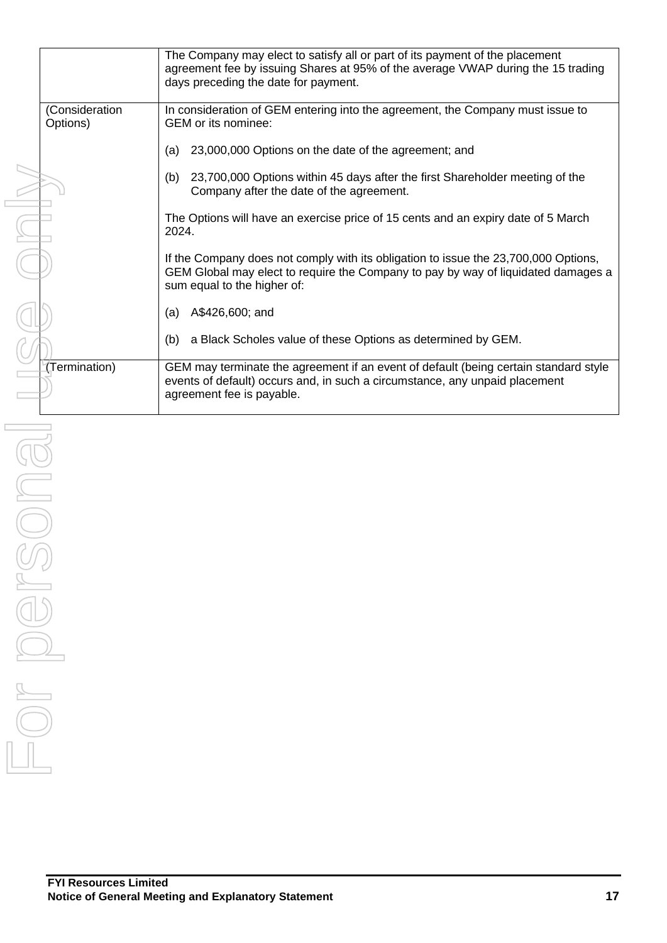|                            | The Company may elect to satisfy all or part of its payment of the placement<br>agreement fee by issuing Shares at 95% of the average VWAP during the 15 trading<br>days preceding the date for payment. |
|----------------------------|----------------------------------------------------------------------------------------------------------------------------------------------------------------------------------------------------------|
| (Consideration<br>Options) | In consideration of GEM entering into the agreement, the Company must issue to<br>GEM or its nominee:                                                                                                    |
|                            | 23,000,000 Options on the date of the agreement; and<br>(a)                                                                                                                                              |
|                            | 23,700,000 Options within 45 days after the first Shareholder meeting of the<br>(b)<br>Company after the date of the agreement.                                                                          |
|                            | The Options will have an exercise price of 15 cents and an expiry date of 5 March<br>2024.                                                                                                               |
|                            | If the Company does not comply with its obligation to issue the 23,700,000 Options,<br>GEM Global may elect to require the Company to pay by way of liquidated damages a<br>sum equal to the higher of:  |
|                            | (a) $A$426,600$ ; and                                                                                                                                                                                    |
|                            | a Black Scholes value of these Options as determined by GEM.<br>(b)                                                                                                                                      |
| (Termination)              | GEM may terminate the agreement if an event of default (being certain standard style<br>events of default) occurs and, in such a circumstance, any unpaid placement<br>agreement fee is payable.         |
|                            |                                                                                                                                                                                                          |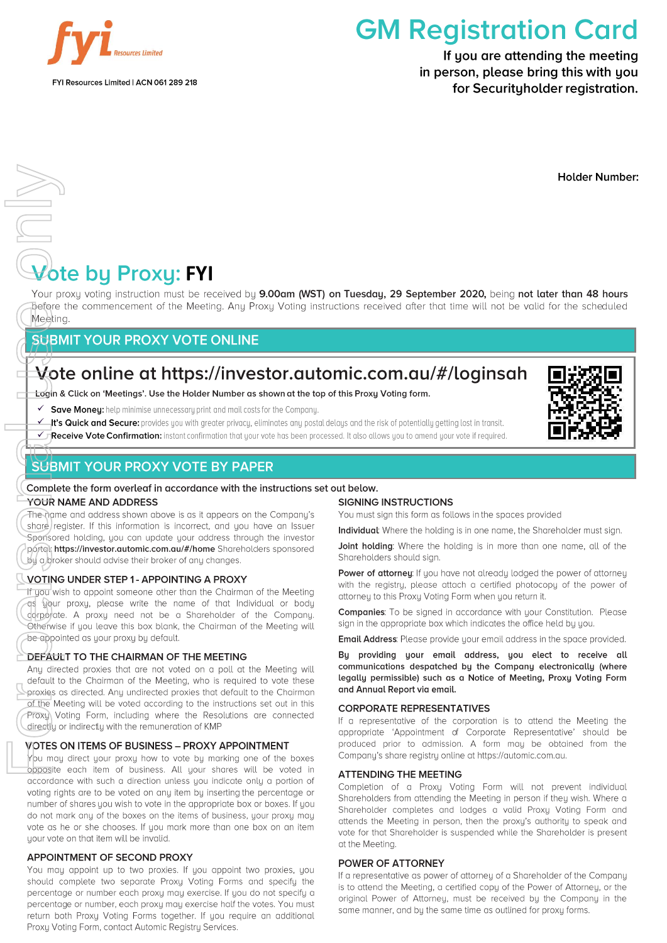

# **GM Registration Card**

If you are attending the meeting in person, please bring this with you for Securityholder registration.

**Holder Number:** 

# **FRICHT**<br> **FIGURE BY Proxy: FYI**<br> **FIGURE 2013 PROXY: FYI**

Your proxy voting instruction must be received by 9.00am (WST) on Tuesday, 29 September 2020, being not later than 48 hours Defore the commencement of the Meeting. Any Proxy Voting instructions received after that time will not be valid for the scheduled Meeting.

### **SUBMIT YOUR PROXY VOTE ONLINE**

## Vote online at https://investor.automic.com.au/#/loginsah

#### Login & Click on 'Meetings'. Use the Holder Number as shown at the top of this Proxy Voting form.

- ✔ Save Money: help minimise unnecessary print and mail costs for the Company.
- k's Quick and Secure: provides you with greater privacy, eliminates any postal delays and the risk of potentially getting lost in transit.
- √ Receive Vote Confirmation: instant confirmation that your vote has been processed. It also allows you to amend your vote if required.

## **SUBMIT YOUR PROXY VOTE BY PAPER**

#### Complete the form overlegf in accordance with the instructions set out below. YOUR NAME AND ADDRESS

The name and address shown above is as it appears on the Company's share reaister. If this information is incorrect, and you have an Issuer Sponsored holding, you can update your address through the investor portal: https://investor.automic.com.au/#/home Shareholders sponsored by a broker should advise their broker of any changes.

#### VOTING UNDER STEP 1 - APPOINTING A PROXY

If you wish to appoint someone other than the Chairman of the Meeting as your proxy, please write the name of that Individual or body corporate. A proxy need not be a Shareholder of the Company. Otherwise if you leave this box blank, the Chairman of the Meeting will be appointed as your proxy by default.

#### DEFAULT TO THE CHAIRMAN OF THE MEETING

For Personal University of the New Your property of the New York The Name (spensore ported) and the New York The Name Property Complete Cherwise and the Median Any directly of North Any directly of North Any directly of No Any directed proxies that are not voted on a poll at the Meeting will default to the Chairman of the Meeting, who is required to vote these proxies as directed. Any undirected proxies that default to the Chairman of the Meeting will be voted according to the instructions set out in this Proxy) Voting Form, including where the Resolutions are connected directly or indirectly with the remuneration of KMP

#### **NOTES ON ITEMS OF BUSINESS - PROXY APPOINTMENT**

You may direct your proxy how to vote by marking one of the boxes opposite each item of business. All your shares will be voted in accordance with such a direction unless you indicate only a portion of voting rights are to be voted on any item by inserting the percentage or number of shares you wish to vote in the appropriate box or boxes. If you do not mark any of the boxes on the items of business, your proxy may vote as he or she chooses. If you mark more than one box on an item your vote on that item will be invalid.

#### **APPOINTMENT OF SECOND PROXY**

You may appoint up to two proxies. If you appoint two proxies, you should complete two separate Proxy Voting Forms and specify the percentage or number each proxy may exercise. If you do not specify a percentage or number, each proxy may exercise half the votes. You must return both Proxy Voting Forms together. If you require an additional Proxy Voting Form, contact Automic Registry Services.

#### **SIGNING INSTRUCTIONS**

You must sign this form as follows in the spaces provided

Individual: Where the holding is in one name, the Shareholder must sign.

Joint holding: Where the holding is in more than one name, all of the Shareholders should sign.

Power of attorney: If you have not already lodged the power of attorney with the registry, please attach a certified photocopy of the power of attorney to this Proxy Voting Form when you return it.

Companies: To be signed in accordance with your Constitution. Please sign in the appropriate box which indicates the office held by you.

**Email Address:** Please provide your email address in the space provided.

By providing your email address, you elect to receive all communications despatched by the Company electronically (where legally permissible) such as a Notice of Meeting, Proxy Voting Form and Annual Report via email.

#### **CORPORATE REPRESENTATIVES**

If a representative of the corporation is to attend the Meeting the appropriate 'Appointment of Corporate Representative' should be produced prior to admission. A form may be obtained from the Company's share registry online at https://automic.com.au.

#### **ATTENDING THE MEETING**

Completion of a Proxy Voting Form will not prevent individual Shareholders from attending the Meeting in person if they wish. Where a Shareholder completes and lodges a valid Proxy Voting Form and attends the Meeting in person, then the proxy's authority to speak and vote for that Shareholder is suspended while the Shareholder is present at the Meeting.

#### POWER OF ATTORNEY

If a representative as power of attorney of a Shareholder of the Company is to attend the Meeting, a certified copy of the Power of Attorney, or the original Power of Attorney, must be received by the Company in the same manner, and by the same time as outlined for proxy forms.